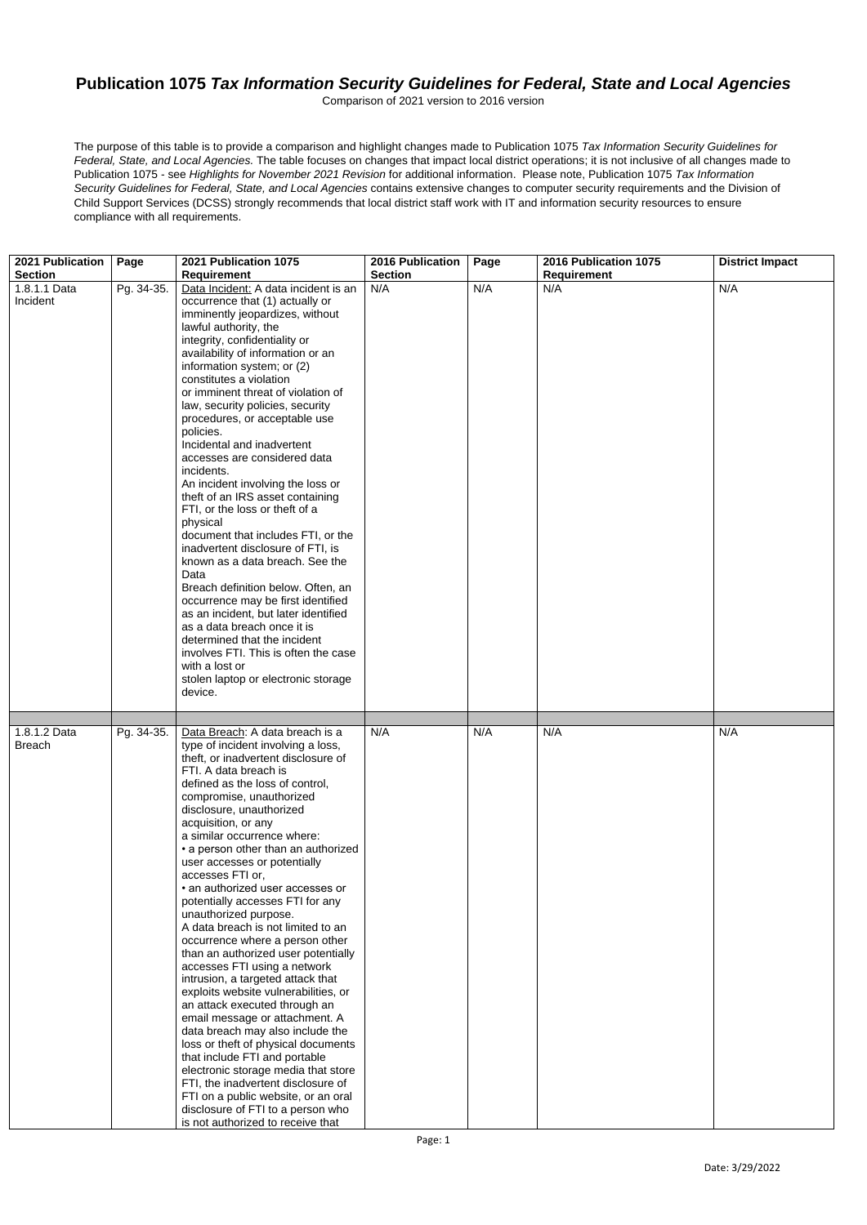Date: 3/29/2022

## **Publication 1075** *Tax Information Security Guidelines for Federal, State and Local Agencies*

Comparison of 2021 version to 2016 version

The purpose of this table is to provide a comparison and highlight changes made to Publication 1075 *Tax Information Security Guidelines for Federal, State, and Local Agencies.* The table focuses on changes that impact local district operations; it is not inclusive of all changes made to Publication 1075 - see *Highlights for November 2021 Revision* for additional information. Please note, Publication 1075 *Tax Information Security Guidelines for Federal, State, and Local Agencies* contains extensive changes to computer security requirements and the Division of Child Support Services (DCSS) strongly recommends that local district staff work with IT and information security resources to ensure compliance with all requirements.

| 2021 Publication | Page       | 2021 Publication 1075                                                     | <b>2016 Publication</b> | Page | 2016 Publication 1075 | <b>District Impact</b> |
|------------------|------------|---------------------------------------------------------------------------|-------------------------|------|-----------------------|------------------------|
| <b>Section</b>   |            | <b>Requirement</b>                                                        | <b>Section</b>          |      | <b>Requirement</b>    |                        |
| 1.8.1.1 Data     | Pg. 34-35. | Data Incident: A data incident is an                                      | N/A                     | N/A  | N/A                   | N/A                    |
| Incident         |            | occurrence that (1) actually or                                           |                         |      |                       |                        |
|                  |            | imminently jeopardizes, without                                           |                         |      |                       |                        |
|                  |            | lawful authority, the                                                     |                         |      |                       |                        |
|                  |            | integrity, confidentiality or<br>availability of information or an        |                         |      |                       |                        |
|                  |            | information system; or (2)                                                |                         |      |                       |                        |
|                  |            | constitutes a violation                                                   |                         |      |                       |                        |
|                  |            | or imminent threat of violation of                                        |                         |      |                       |                        |
|                  |            | law, security policies, security                                          |                         |      |                       |                        |
|                  |            | procedures, or acceptable use                                             |                         |      |                       |                        |
|                  |            | policies.                                                                 |                         |      |                       |                        |
|                  |            | Incidental and inadvertent                                                |                         |      |                       |                        |
|                  |            | accesses are considered data                                              |                         |      |                       |                        |
|                  |            | incidents.                                                                |                         |      |                       |                        |
|                  |            | An incident involving the loss or<br>theft of an IRS asset containing     |                         |      |                       |                        |
|                  |            | FTI, or the loss or theft of a                                            |                         |      |                       |                        |
|                  |            | physical                                                                  |                         |      |                       |                        |
|                  |            | document that includes FTI, or the                                        |                         |      |                       |                        |
|                  |            | inadvertent disclosure of FTI, is                                         |                         |      |                       |                        |
|                  |            | known as a data breach. See the                                           |                         |      |                       |                        |
|                  |            | Data                                                                      |                         |      |                       |                        |
|                  |            | Breach definition below. Often, an                                        |                         |      |                       |                        |
|                  |            | occurrence may be first identified                                        |                         |      |                       |                        |
|                  |            | as an incident, but later identified<br>as a data breach once it is       |                         |      |                       |                        |
|                  |            | determined that the incident                                              |                         |      |                       |                        |
|                  |            | involves FTI. This is often the case                                      |                         |      |                       |                        |
|                  |            | with a lost or                                                            |                         |      |                       |                        |
|                  |            | stolen laptop or electronic storage                                       |                         |      |                       |                        |
|                  |            | device.                                                                   |                         |      |                       |                        |
|                  |            |                                                                           |                         |      |                       |                        |
|                  |            |                                                                           |                         |      |                       |                        |
| 1.8.1.2 Data     | Pg. 34-35. | Data Breach: A data breach is a                                           | N/A                     | N/A  | N/A                   | N/A                    |
| <b>Breach</b>    |            | type of incident involving a loss,<br>theft, or inadvertent disclosure of |                         |      |                       |                        |
|                  |            | FTI. A data breach is                                                     |                         |      |                       |                        |
|                  |            | defined as the loss of control,                                           |                         |      |                       |                        |
|                  |            | compromise, unauthorized                                                  |                         |      |                       |                        |
|                  |            | disclosure, unauthorized                                                  |                         |      |                       |                        |
|                  |            | acquisition, or any                                                       |                         |      |                       |                        |
|                  |            | a similar occurrence where:                                               |                         |      |                       |                        |
|                  |            | • a person other than an authorized                                       |                         |      |                       |                        |
|                  |            | user accesses or potentially                                              |                         |      |                       |                        |
|                  |            | accesses FTI or,                                                          |                         |      |                       |                        |
|                  |            | • an authorized user accesses or                                          |                         |      |                       |                        |
|                  |            | potentially accesses FTI for any<br>unauthorized purpose.                 |                         |      |                       |                        |
|                  |            | A data breach is not limited to an                                        |                         |      |                       |                        |
|                  |            | occurrence where a person other                                           |                         |      |                       |                        |
|                  |            | than an authorized user potentially                                       |                         |      |                       |                        |
|                  |            | accesses FTI using a network                                              |                         |      |                       |                        |
|                  |            | intrusion, a targeted attack that                                         |                         |      |                       |                        |
|                  |            | exploits website vulnerabilities, or                                      |                         |      |                       |                        |
|                  |            | an attack executed through an                                             |                         |      |                       |                        |
|                  |            | email message or attachment. A                                            |                         |      |                       |                        |
|                  |            | data breach may also include the<br>loss or theft of physical documents   |                         |      |                       |                        |
|                  |            | that include FTI and portable                                             |                         |      |                       |                        |
|                  |            | electronic storage media that store                                       |                         |      |                       |                        |
|                  |            | FTI, the inadvertent disclosure of                                        |                         |      |                       |                        |
|                  |            | FTI on a public website, or an oral                                       |                         |      |                       |                        |
|                  |            | disclosure of FTI to a person who                                         |                         |      |                       |                        |
|                  |            | is not authorized to receive that                                         |                         |      |                       |                        |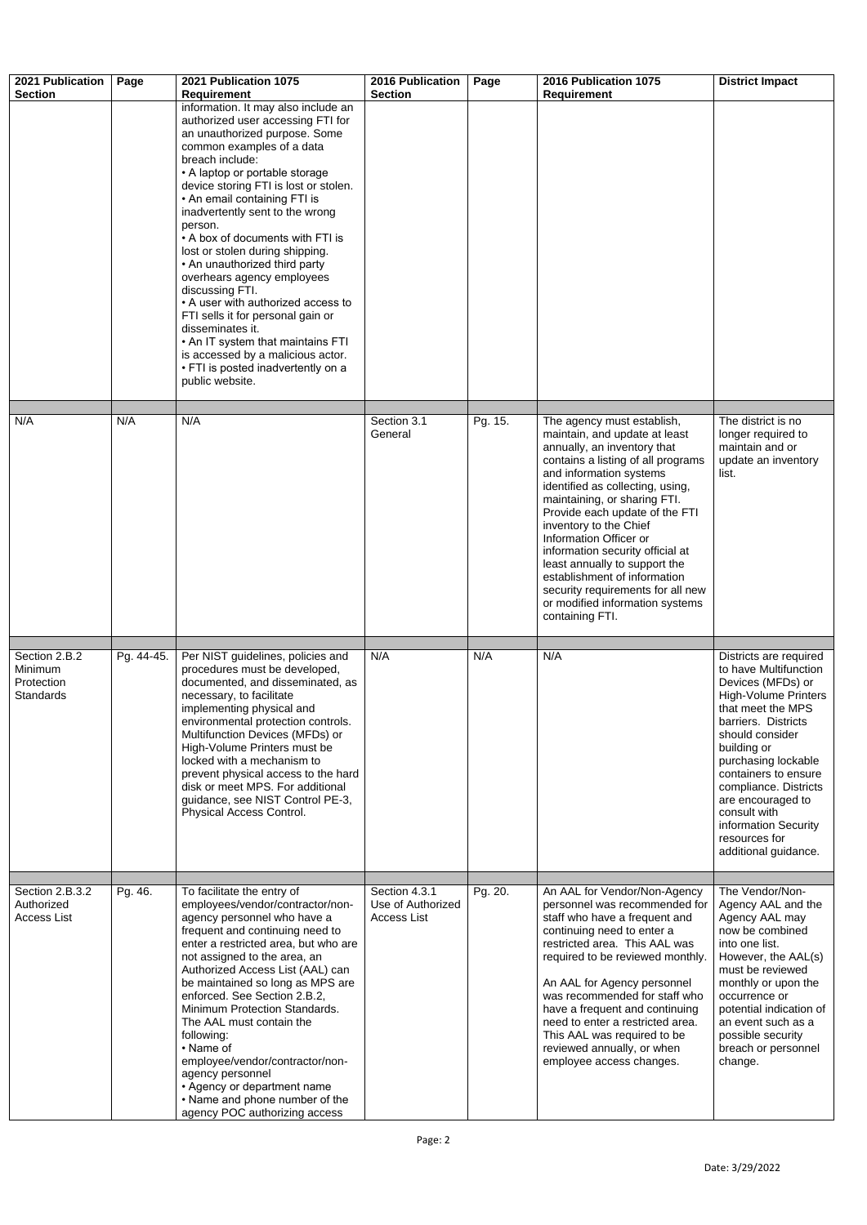| 2021 Publication<br><b>Section</b>                         | Page       | 2021 Publication 1075<br><b>Requirement</b>                                                                                                                                                                                                                                                                                                                                                                                                                                                                                                                                                                                                                                                                   | <b>2016 Publication</b><br><b>Section</b>                | Page    | 2016 Publication 1075<br><b>Requirement</b>                                                                                                                                                                                                                                                                                                                                                                                                                                                                           | <b>District Impact</b>                                                                                                                                                                                                                                                                                                                                          |
|------------------------------------------------------------|------------|---------------------------------------------------------------------------------------------------------------------------------------------------------------------------------------------------------------------------------------------------------------------------------------------------------------------------------------------------------------------------------------------------------------------------------------------------------------------------------------------------------------------------------------------------------------------------------------------------------------------------------------------------------------------------------------------------------------|----------------------------------------------------------|---------|-----------------------------------------------------------------------------------------------------------------------------------------------------------------------------------------------------------------------------------------------------------------------------------------------------------------------------------------------------------------------------------------------------------------------------------------------------------------------------------------------------------------------|-----------------------------------------------------------------------------------------------------------------------------------------------------------------------------------------------------------------------------------------------------------------------------------------------------------------------------------------------------------------|
|                                                            |            | information. It may also include an<br>authorized user accessing FTI for<br>an unauthorized purpose. Some<br>common examples of a data<br>breach include:<br>• A laptop or portable storage<br>device storing FTI is lost or stolen.<br>• An email containing FTI is<br>inadvertently sent to the wrong<br>person.<br>• A box of documents with FTI is<br>lost or stolen during shipping.<br>• An unauthorized third party<br>overhears agency employees<br>discussing FTI.<br>• A user with authorized access to<br>FTI sells it for personal gain or<br>disseminates it.<br>• An IT system that maintains FTI<br>is accessed by a malicious actor.<br>• FTI is posted inadvertently on a<br>public website. |                                                          |         |                                                                                                                                                                                                                                                                                                                                                                                                                                                                                                                       |                                                                                                                                                                                                                                                                                                                                                                 |
| N/A                                                        | N/A        | N/A                                                                                                                                                                                                                                                                                                                                                                                                                                                                                                                                                                                                                                                                                                           | Section 3.1<br>General                                   | Pg. 15. | The agency must establish,<br>maintain, and update at least<br>annually, an inventory that<br>contains a listing of all programs<br>and information systems<br>identified as collecting, using,<br>maintaining, or sharing FTI.<br>Provide each update of the FTI<br>inventory to the Chief<br>Information Officer or<br>information security official at<br>least annually to support the<br>establishment of information<br>security requirements for all new<br>or modified information systems<br>containing FTI. | The district is no<br>longer required to<br>maintain and or<br>update an inventory<br>list.                                                                                                                                                                                                                                                                     |
| Section 2.B.2<br>Minimum<br>Protection<br><b>Standards</b> | Pg. 44-45. | Per NIST guidelines, policies and<br>procedures must be developed,<br>documented, and disseminated, as<br>necessary, to facilitate<br>implementing physical and<br>environmental protection controls.<br>Multifunction Devices (MFDs) or<br>High-Volume Printers must be<br>locked with a mechanism to<br>prevent physical access to the hard<br>disk or meet MPS. For additional<br>guidance, see NIST Control PE-3,<br><b>Physical Access Control.</b>                                                                                                                                                                                                                                                      | N/A                                                      | N/A     | N/A                                                                                                                                                                                                                                                                                                                                                                                                                                                                                                                   | Districts are required<br>to have Multifunction<br>Devices (MFDs) or<br><b>High-Volume Printers</b><br>that meet the MPS<br>barriers. Districts<br>should consider<br>building or<br>purchasing lockable<br>containers to ensure<br>compliance. Districts<br>are encouraged to<br>consult with<br>information Security<br>resources for<br>additional guidance. |
| Section 2.B.3.2<br>Authorized<br><b>Access List</b>        | Pg. 46.    | To facilitate the entry of<br>employees/vendor/contractor/non-<br>agency personnel who have a<br>frequent and continuing need to<br>enter a restricted area, but who are<br>not assigned to the area, an<br>Authorized Access List (AAL) can<br>be maintained so long as MPS are<br>enforced. See Section 2.B.2,<br>Minimum Protection Standards.<br>The AAL must contain the<br>following:<br>• Name of<br>employee/vendor/contractor/non-<br>agency personnel<br>• Agency or department name<br>• Name and phone number of the<br>agency POC authorizing access                                                                                                                                             | Section 4.3.1<br>Use of Authorized<br><b>Access List</b> | Pg. 20. | An AAL for Vendor/Non-Agency<br>personnel was recommended for<br>staff who have a frequent and<br>continuing need to enter a<br>restricted area. This AAL was<br>required to be reviewed monthly.<br>An AAL for Agency personnel<br>was recommended for staff who<br>have a frequent and continuing<br>need to enter a restricted area.<br>This AAL was required to be<br>reviewed annually, or when<br>employee access changes.                                                                                      | The Vendor/Non-<br>Agency AAL and the<br>Agency AAL may<br>now be combined<br>into one list.<br>However, the AAL(s)<br>must be reviewed<br>monthly or upon the<br>occurrence or<br>potential indication of<br>an event such as a<br>possible security<br>breach or personnel<br>change.                                                                         |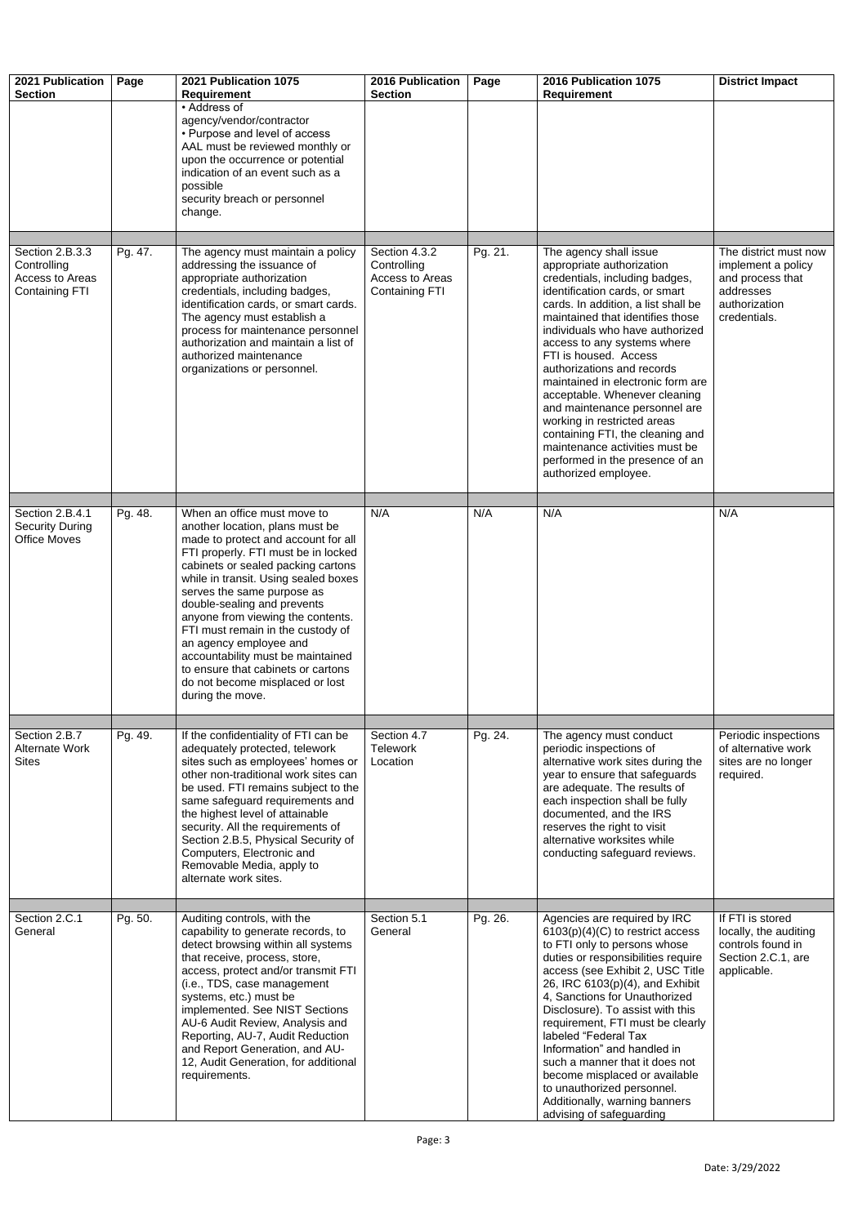| 2021 Publication<br><b>Section</b>                                         | Page    | 2021 Publication 1075<br><b>Requirement</b>                                                                                                                                                                                                                                                                                                                                                                                                                                                                                   | <b>2016 Publication</b><br><b>Section</b>                                | Page    | 2016 Publication 1075<br><b>Requirement</b>                                                                                                                                                                                                                                                                                                                                                                                                                                                                                                                                                        | <b>District Impact</b>                                                                                        |
|----------------------------------------------------------------------------|---------|-------------------------------------------------------------------------------------------------------------------------------------------------------------------------------------------------------------------------------------------------------------------------------------------------------------------------------------------------------------------------------------------------------------------------------------------------------------------------------------------------------------------------------|--------------------------------------------------------------------------|---------|----------------------------------------------------------------------------------------------------------------------------------------------------------------------------------------------------------------------------------------------------------------------------------------------------------------------------------------------------------------------------------------------------------------------------------------------------------------------------------------------------------------------------------------------------------------------------------------------------|---------------------------------------------------------------------------------------------------------------|
|                                                                            |         | • Address of<br>agency/vendor/contractor<br>• Purpose and level of access<br>AAL must be reviewed monthly or<br>upon the occurrence or potential<br>indication of an event such as a<br>possible<br>security breach or personnel<br>change.                                                                                                                                                                                                                                                                                   |                                                                          |         |                                                                                                                                                                                                                                                                                                                                                                                                                                                                                                                                                                                                    |                                                                                                               |
| Section 2.B.3.3<br>Controlling<br>Access to Areas<br><b>Containing FTI</b> | Pg. 47. | The agency must maintain a policy<br>addressing the issuance of<br>appropriate authorization<br>credentials, including badges,<br>identification cards, or smart cards.<br>The agency must establish a<br>process for maintenance personnel<br>authorization and maintain a list of<br>authorized maintenance<br>organizations or personnel.                                                                                                                                                                                  | Section 4.3.2<br>Controlling<br>Access to Areas<br><b>Containing FTI</b> | Pg. 21. | The agency shall issue<br>appropriate authorization<br>credentials, including badges,<br>identification cards, or smart<br>cards. In addition, a list shall be<br>maintained that identifies those<br>individuals who have authorized<br>access to any systems where<br>FTI is housed. Access<br>authorizations and records<br>maintained in electronic form are<br>acceptable. Whenever cleaning<br>and maintenance personnel are<br>working in restricted areas<br>containing FTI, the cleaning and<br>maintenance activities must be<br>performed in the presence of an<br>authorized employee. | The district must now<br>implement a policy<br>and process that<br>addresses<br>authorization<br>credentials. |
| Section 2.B.4.1<br><b>Security During</b><br><b>Office Moves</b>           | Pg. 48. | When an office must move to<br>another location, plans must be<br>made to protect and account for all<br>FTI properly. FTI must be in locked<br>cabinets or sealed packing cartons<br>while in transit. Using sealed boxes<br>serves the same purpose as<br>double-sealing and prevents<br>anyone from viewing the contents.<br>FTI must remain in the custody of<br>an agency employee and<br>accountability must be maintained<br>to ensure that cabinets or cartons<br>do not become misplaced or lost<br>during the move. | N/A                                                                      | N/A     | N/A                                                                                                                                                                                                                                                                                                                                                                                                                                                                                                                                                                                                | N/A                                                                                                           |
| Section 2.B.7<br><b>Alternate Work</b><br><b>Sites</b>                     | Pg. 49. | If the confidentiality of FTI can be<br>adequately protected, telework<br>sites such as employees' homes or<br>other non-traditional work sites can<br>be used. FTI remains subject to the<br>same safeguard requirements and<br>the highest level of attainable<br>security. All the requirements of<br>Section 2.B.5, Physical Security of<br>Computers, Electronic and<br>Removable Media, apply to<br>alternate work sites.                                                                                               | Section 4.7<br><b>Telework</b><br>Location                               | Pg. 24. | The agency must conduct<br>periodic inspections of<br>alternative work sites during the<br>year to ensure that safeguards<br>are adequate. The results of<br>each inspection shall be fully<br>documented, and the IRS<br>reserves the right to visit<br>alternative worksites while<br>conducting safeguard reviews.                                                                                                                                                                                                                                                                              | Periodic inspections<br>of alternative work<br>sites are no longer<br>required.                               |
| Section 2.C.1<br>General                                                   | Pg. 50. | Auditing controls, with the<br>capability to generate records, to<br>detect browsing within all systems<br>that receive, process, store,<br>access, protect and/or transmit FTI<br>(i.e., TDS, case management<br>systems, etc.) must be<br>implemented. See NIST Sections<br>AU-6 Audit Review, Analysis and<br>Reporting, AU-7, Audit Reduction<br>and Report Generation, and AU-<br>12, Audit Generation, for additional<br>requirements.                                                                                  | Section 5.1<br>General                                                   | Pg. 26. | Agencies are required by IRC<br>$6103(p)(4)(C)$ to restrict access<br>to FTI only to persons whose<br>duties or responsibilities require<br>access (see Exhibit 2, USC Title<br>26, IRC 6103(p)(4), and Exhibit<br>4, Sanctions for Unauthorized<br>Disclosure). To assist with this<br>requirement, FTI must be clearly<br>labeled "Federal Tax<br>Information" and handled in<br>such a manner that it does not<br>become misplaced or available<br>to unauthorized personnel.<br>Additionally, warning banners<br>advising of safeguarding                                                      | If FTI is stored<br>locally, the auditing<br>controls found in<br>Section 2.C.1, are<br>applicable.           |

| General |  |
|---------|--|
|---------|--|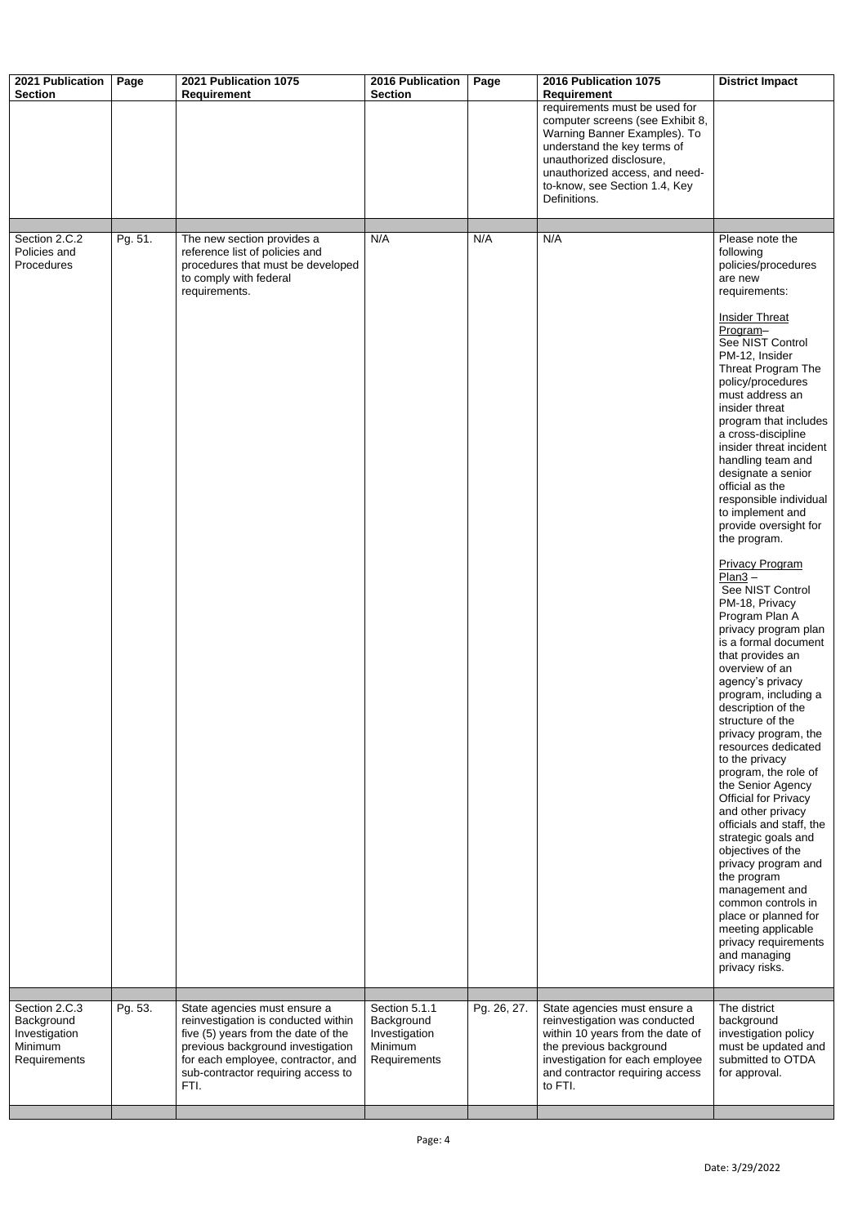| 2021 Publication<br><b>Section</b>                                      | Page    | 2021 Publication 1075                                                                                                                                                                                                               | 2016 Publication<br><b>Section</b>                                      | Page        | 2016 Publication 1075<br><b>Requirement</b>                                                                                                                                                                                                     | <b>District Impact</b>                                                                                                                                                                                                                                                                                                                                                                                                                                                                                                                                                                                                                                                                                                                                                                                                                                                                                                                                                                                                                                                                                                                                            |
|-------------------------------------------------------------------------|---------|-------------------------------------------------------------------------------------------------------------------------------------------------------------------------------------------------------------------------------------|-------------------------------------------------------------------------|-------------|-------------------------------------------------------------------------------------------------------------------------------------------------------------------------------------------------------------------------------------------------|-------------------------------------------------------------------------------------------------------------------------------------------------------------------------------------------------------------------------------------------------------------------------------------------------------------------------------------------------------------------------------------------------------------------------------------------------------------------------------------------------------------------------------------------------------------------------------------------------------------------------------------------------------------------------------------------------------------------------------------------------------------------------------------------------------------------------------------------------------------------------------------------------------------------------------------------------------------------------------------------------------------------------------------------------------------------------------------------------------------------------------------------------------------------|
|                                                                         |         | Requirement                                                                                                                                                                                                                         |                                                                         |             | requirements must be used for<br>computer screens (see Exhibit 8,<br>Warning Banner Examples). To<br>understand the key terms of<br>unauthorized disclosure,<br>unauthorized access, and need-<br>to-know, see Section 1.4, Key<br>Definitions. |                                                                                                                                                                                                                                                                                                                                                                                                                                                                                                                                                                                                                                                                                                                                                                                                                                                                                                                                                                                                                                                                                                                                                                   |
| Section 2.C.2                                                           | Pg. 51. | The new section provides a                                                                                                                                                                                                          | N/A                                                                     | N/A         | N/A                                                                                                                                                                                                                                             | Please note the                                                                                                                                                                                                                                                                                                                                                                                                                                                                                                                                                                                                                                                                                                                                                                                                                                                                                                                                                                                                                                                                                                                                                   |
| Policies and<br><b>Procedures</b>                                       |         | reference list of policies and<br>procedures that must be developed<br>to comply with federal<br>requirements.                                                                                                                      |                                                                         |             |                                                                                                                                                                                                                                                 | following<br>policies/procedures<br>are new<br>requirements:<br><b>Insider Threat</b><br>Program-<br>See NIST Control<br>PM-12, Insider<br>Threat Program The<br>policy/procedures<br>must address an<br>insider threat<br>program that includes<br>a cross-discipline<br>insider threat incident<br>handling team and<br>designate a senior<br>official as the<br>responsible individual<br>to implement and<br>provide oversight for<br>the program.<br><b>Privacy Program</b><br>$Plan3 -$<br>See NIST Control<br>PM-18, Privacy<br>Program Plan A<br>privacy program plan<br>is a formal document<br>that provides an<br>overview of an<br>agency's privacy<br>program, including a<br>description of the<br>structure of the<br>privacy program, the<br>resources dedicated<br>to the privacy<br>program, the role of<br>the Senior Agency<br><b>Official for Privacy</b><br>and other privacy<br>officials and staff, the<br>strategic goals and<br>objectives of the<br>privacy program and<br>the program<br>management and<br>common controls in<br>place or planned for<br>meeting applicable<br>privacy requirements<br>and managing<br>privacy risks. |
|                                                                         |         |                                                                                                                                                                                                                                     |                                                                         |             |                                                                                                                                                                                                                                                 |                                                                                                                                                                                                                                                                                                                                                                                                                                                                                                                                                                                                                                                                                                                                                                                                                                                                                                                                                                                                                                                                                                                                                                   |
| Section 2.C.3<br>Background<br>Investigation<br>Minimum<br>Requirements | Pg. 53. | State agencies must ensure a<br>reinvestigation is conducted within<br>five (5) years from the date of the<br>previous background investigation<br>for each employee, contractor, and<br>sub-contractor requiring access to<br>FTI. | Section 5.1.1<br>Background<br>Investigation<br>Minimum<br>Requirements | Pg. 26, 27. | State agencies must ensure a<br>reinvestigation was conducted<br>within 10 years from the date of<br>the previous background<br>investigation for each employee<br>and contractor requiring access<br>to FTI.                                   | The district<br>background<br>investigation policy<br>must be updated and<br>submitted to OTDA<br>for approval.                                                                                                                                                                                                                                                                                                                                                                                                                                                                                                                                                                                                                                                                                                                                                                                                                                                                                                                                                                                                                                                   |
|                                                                         |         |                                                                                                                                                                                                                                     |                                                                         |             |                                                                                                                                                                                                                                                 |                                                                                                                                                                                                                                                                                                                                                                                                                                                                                                                                                                                                                                                                                                                                                                                                                                                                                                                                                                                                                                                                                                                                                                   |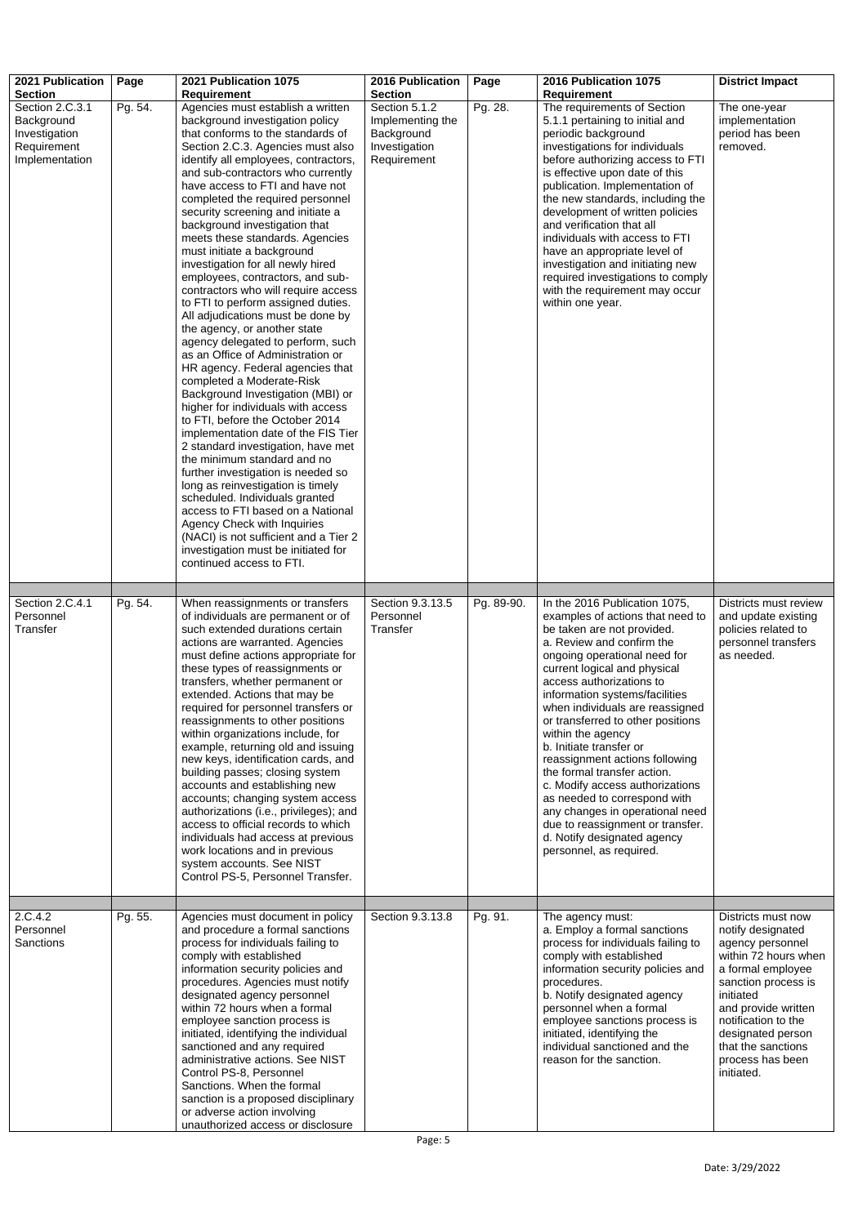Date: 3/29/2022

Personnel **Sanctions** 

| 2021 Publication                                                                | Page    | 2021 Publication 1075                                                                                                                                                                                                                                                                                                                                                                                                                                                                                                                                                                                                                                                                                                                                                                                                                                                                                                                                                                                                                                                                                                                                                                                                                                                                                                                         | <b>2016 Publication</b>                                                         | Page       | 2016 Publication 1075                                                                                                                                                                                                                                                                                                                                                                                                                                                                                                                                                                                                                                   | <b>District Impact</b>                                                                                   |
|---------------------------------------------------------------------------------|---------|-----------------------------------------------------------------------------------------------------------------------------------------------------------------------------------------------------------------------------------------------------------------------------------------------------------------------------------------------------------------------------------------------------------------------------------------------------------------------------------------------------------------------------------------------------------------------------------------------------------------------------------------------------------------------------------------------------------------------------------------------------------------------------------------------------------------------------------------------------------------------------------------------------------------------------------------------------------------------------------------------------------------------------------------------------------------------------------------------------------------------------------------------------------------------------------------------------------------------------------------------------------------------------------------------------------------------------------------------|---------------------------------------------------------------------------------|------------|---------------------------------------------------------------------------------------------------------------------------------------------------------------------------------------------------------------------------------------------------------------------------------------------------------------------------------------------------------------------------------------------------------------------------------------------------------------------------------------------------------------------------------------------------------------------------------------------------------------------------------------------------------|----------------------------------------------------------------------------------------------------------|
| <b>Section</b>                                                                  |         | <b>Requirement</b>                                                                                                                                                                                                                                                                                                                                                                                                                                                                                                                                                                                                                                                                                                                                                                                                                                                                                                                                                                                                                                                                                                                                                                                                                                                                                                                            | <b>Section</b>                                                                  |            | <b>Requirement</b>                                                                                                                                                                                                                                                                                                                                                                                                                                                                                                                                                                                                                                      |                                                                                                          |
| Section 2.C.3.1<br>Background<br>Investigation<br>Requirement<br>Implementation | Pg. 54. | Agencies must establish a written<br>background investigation policy<br>that conforms to the standards of<br>Section 2.C.3. Agencies must also<br>identify all employees, contractors,<br>and sub-contractors who currently<br>have access to FTI and have not<br>completed the required personnel<br>security screening and initiate a<br>background investigation that<br>meets these standards. Agencies<br>must initiate a background<br>investigation for all newly hired<br>employees, contractors, and sub-<br>contractors who will require access<br>to FTI to perform assigned duties.<br>All adjudications must be done by<br>the agency, or another state<br>agency delegated to perform, such<br>as an Office of Administration or<br>HR agency. Federal agencies that<br>completed a Moderate-Risk<br>Background Investigation (MBI) or<br>higher for individuals with access<br>to FTI, before the October 2014<br>implementation date of the FIS Tier<br>2 standard investigation, have met<br>the minimum standard and no<br>further investigation is needed so<br>long as reinvestigation is timely<br>scheduled. Individuals granted<br>access to FTI based on a National<br><b>Agency Check with Inquiries</b><br>(NACI) is not sufficient and a Tier 2<br>investigation must be initiated for<br>continued access to FTI. | Section 5.1.2<br>Implementing the<br>Background<br>Investigation<br>Requirement | Pg. 28.    | The requirements of Section<br>5.1.1 pertaining to initial and<br>periodic background<br>investigations for individuals<br>before authorizing access to FTI<br>is effective upon date of this<br>publication. Implementation of<br>the new standards, including the<br>development of written policies<br>and verification that all<br>individuals with access to FTI<br>have an appropriate level of<br>investigation and initiating new<br>required investigations to comply<br>with the requirement may occur<br>within one year.                                                                                                                    | The one-year<br>implementation<br>period has been<br>removed.                                            |
| Section 2.C.4.1<br>Personnel<br>Transfer                                        | Pg. 54. | When reassignments or transfers<br>of individuals are permanent or of<br>such extended durations certain<br>actions are warranted. Agencies<br>must define actions appropriate for<br>these types of reassignments or<br>transfers, whether permanent or<br>extended. Actions that may be<br>required for personnel transfers or<br>reassignments to other positions<br>within organizations include, for<br>example, returning old and issuing<br>new keys, identification cards, and<br>building passes; closing system<br>accounts and establishing new<br>accounts; changing system access<br>authorizations (i.e., privileges); and<br>access to official records to which<br>individuals had access at previous<br>work locations and in previous<br>system accounts. See NIST<br>Control PS-5, Personnel Transfer.                                                                                                                                                                                                                                                                                                                                                                                                                                                                                                                     | Section 9.3.13.5<br>Personnel<br>Transfer                                       | Pg. 89-90. | In the 2016 Publication 1075,<br>examples of actions that need to<br>be taken are not provided.<br>a. Review and confirm the<br>ongoing operational need for<br>current logical and physical<br>access authorizations to<br>information systems/facilities<br>when individuals are reassigned<br>or transferred to other positions<br>within the agency<br>b. Initiate transfer or<br>reassignment actions following<br>the formal transfer action.<br>c. Modify access authorizations<br>as needed to correspond with<br>any changes in operational need<br>due to reassignment or transfer.<br>d. Notify designated agency<br>personnel, as required. | Districts must review<br>and update existing<br>policies related to<br>personnel transfers<br>as needed. |
| 2.C.4.2                                                                         | Pg. 55. | Agencies must document in policy                                                                                                                                                                                                                                                                                                                                                                                                                                                                                                                                                                                                                                                                                                                                                                                                                                                                                                                                                                                                                                                                                                                                                                                                                                                                                                              | Section 9.3.13.8                                                                | Pg. 91.    | The agency must:                                                                                                                                                                                                                                                                                                                                                                                                                                                                                                                                                                                                                                        | Districts must now                                                                                       |

and procedure a formal sanctions process for individuals failing to comply with established information security policies and procedures. Agencies must notify designated agency personnel within 72 hours when a formal employee sanction process is initiated, identifying the individual sanctioned and any required administrative actions. See NIST Control PS-8, Personnel Sanctions. When the formal sanction is a proposed disciplinary or adverse action involving unauthorized access or disclosure

a. Employ a formal sanctions process for individuals failing to comply with established information security policies and procedures. b. Notify designated agency personnel when a formal employee sanctions process is initiated, identifying the individual sanctioned and the reason for the sanction. notify designated agency personnel within 72 hours when a formal employee sanction process is initiated and provide written notification to the designated person that the sanctions process has been initiated.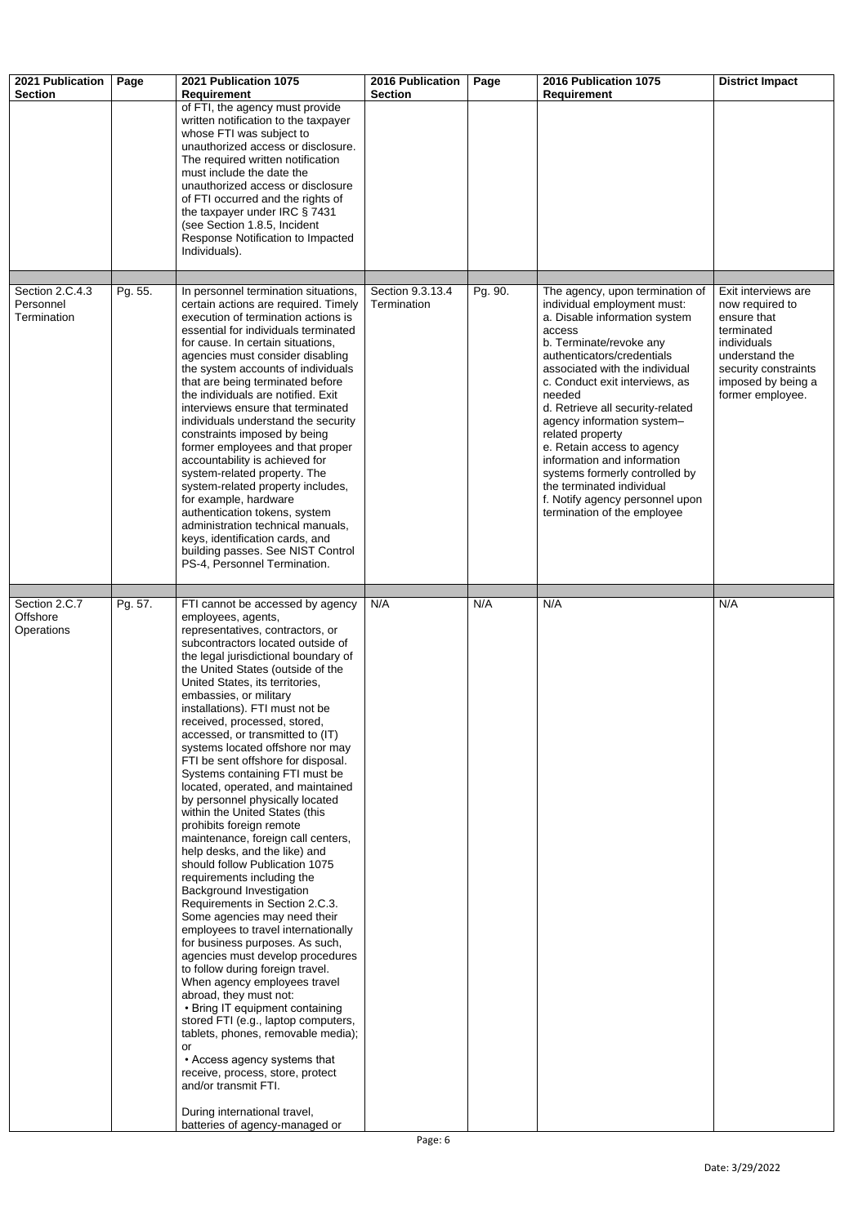| 2021 Publication<br><b>Section</b>          | Page    | 2021 Publication 1075<br><b>Requirement</b>                                                                                                                                                                                                                                                                                                                                                                                                                                                                                                                                                                                                                                                                                                                                                                                                                                                                                                                                                                                                                                                                                                                                                                                                                                                                                                                                    | <b>2016 Publication</b><br><b>Section</b> | Page    | 2016 Publication 1075<br><b>Requirement</b>                                                                                                                                                                                                                                                                                                                                                                                                                                                                                          | <b>District Impact</b>                                                                                                                                                 |
|---------------------------------------------|---------|--------------------------------------------------------------------------------------------------------------------------------------------------------------------------------------------------------------------------------------------------------------------------------------------------------------------------------------------------------------------------------------------------------------------------------------------------------------------------------------------------------------------------------------------------------------------------------------------------------------------------------------------------------------------------------------------------------------------------------------------------------------------------------------------------------------------------------------------------------------------------------------------------------------------------------------------------------------------------------------------------------------------------------------------------------------------------------------------------------------------------------------------------------------------------------------------------------------------------------------------------------------------------------------------------------------------------------------------------------------------------------|-------------------------------------------|---------|--------------------------------------------------------------------------------------------------------------------------------------------------------------------------------------------------------------------------------------------------------------------------------------------------------------------------------------------------------------------------------------------------------------------------------------------------------------------------------------------------------------------------------------|------------------------------------------------------------------------------------------------------------------------------------------------------------------------|
|                                             |         | of FTI, the agency must provide<br>written notification to the taxpayer<br>whose FTI was subject to<br>unauthorized access or disclosure.<br>The required written notification<br>must include the date the<br>unauthorized access or disclosure<br>of FTI occurred and the rights of<br>the taxpayer under IRC § 7431<br>(see Section 1.8.5, Incident<br>Response Notification to Impacted<br>Individuals).                                                                                                                                                                                                                                                                                                                                                                                                                                                                                                                                                                                                                                                                                                                                                                                                                                                                                                                                                                   |                                           |         |                                                                                                                                                                                                                                                                                                                                                                                                                                                                                                                                      |                                                                                                                                                                        |
| Section 2.C.4.3<br>Personnel<br>Termination | Pg. 55. | In personnel termination situations,<br>certain actions are required. Timely<br>execution of termination actions is<br>essential for individuals terminated<br>for cause. In certain situations,<br>agencies must consider disabling<br>the system accounts of individuals<br>that are being terminated before<br>the individuals are notified. Exit<br>interviews ensure that terminated<br>individuals understand the security<br>constraints imposed by being<br>former employees and that proper<br>accountability is achieved for<br>system-related property. The<br>system-related property includes,<br>for example, hardware<br>authentication tokens, system<br>administration technical manuals,<br>keys, identification cards, and                                                                                                                                                                                                                                                                                                                                                                                                                                                                                                                                                                                                                                  | Section 9.3.13.4<br>Termination           | Pg. 90. | The agency, upon termination of<br>individual employment must:<br>a. Disable information system<br>access<br>b. Terminate/revoke any<br>authenticators/credentials<br>associated with the individual<br>c. Conduct exit interviews, as<br>needed<br>d. Retrieve all security-related<br>agency information system-<br>related property<br>e. Retain access to agency<br>information and information<br>systems formerly controlled by<br>the terminated individual<br>f. Notify agency personnel upon<br>termination of the employee | Exit interviews are<br>now required to<br>ensure that<br>terminated<br>individuals<br>understand the<br>security constraints<br>imposed by being a<br>former employee. |
|                                             |         | building passes. See NIST Control<br>PS-4, Personnel Termination.                                                                                                                                                                                                                                                                                                                                                                                                                                                                                                                                                                                                                                                                                                                                                                                                                                                                                                                                                                                                                                                                                                                                                                                                                                                                                                              |                                           |         |                                                                                                                                                                                                                                                                                                                                                                                                                                                                                                                                      |                                                                                                                                                                        |
| Section 2.C.7<br>Offshore<br>Operations     | Pg. 57. | FTI cannot be accessed by agency<br>employees, agents,<br>representatives, contractors, or<br>subcontractors located outside of<br>the legal jurisdictional boundary of<br>the United States (outside of the<br>United States, its territories,<br>embassies, or military<br>installations). FTI must not be<br>received, processed, stored,<br>accessed, or transmitted to (IT)<br>systems located offshore nor may<br>FTI be sent offshore for disposal.<br>Systems containing FTI must be<br>located, operated, and maintained<br>by personnel physically located<br>within the United States (this<br>prohibits foreign remote<br>maintenance, foreign call centers,<br>help desks, and the like) and<br>should follow Publication 1075<br>requirements including the<br><b>Background Investigation</b><br>Requirements in Section 2.C.3.<br>Some agencies may need their<br>employees to travel internationally<br>for business purposes. As such,<br>agencies must develop procedures<br>to follow during foreign travel.<br>When agency employees travel<br>abroad, they must not:<br>• Bring IT equipment containing<br>stored FTI (e.g., laptop computers,<br>tablets, phones, removable media);<br>or<br>• Access agency systems that<br>receive, process, store, protect<br>and/or transmit FTI.<br>During international travel,<br>batteries of agency-managed or | N/A                                       | N/A     | N/A                                                                                                                                                                                                                                                                                                                                                                                                                                                                                                                                  | N/A                                                                                                                                                                    |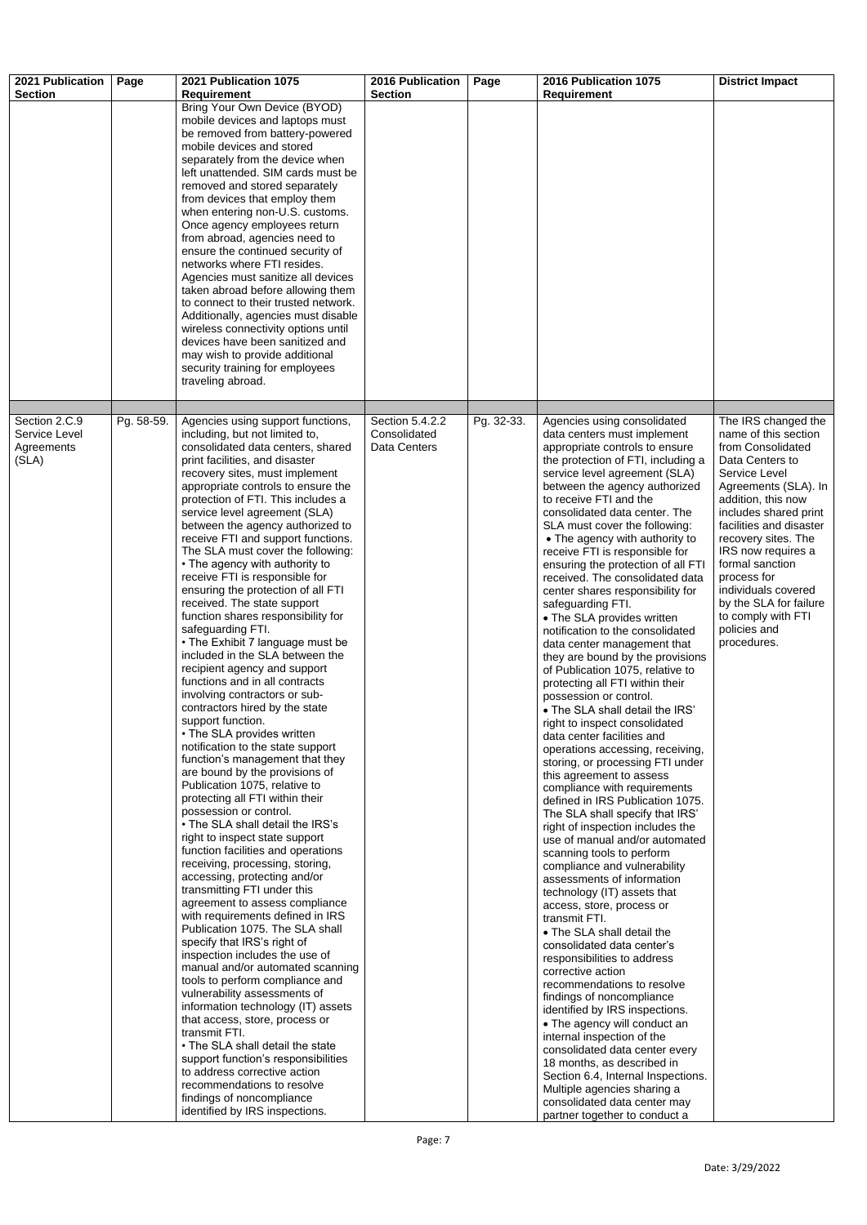| 2021 Publication                                      | Page       | 2021 Publication 1075                                                                                                                                                                                                                                                                                                                                                                                                                                                                                                                                                                                                                                                                                                                                                                                                                                                                                                                                                                                                                                                                                                                                                                                                                                                                                                                                                                                                                                                                                                                                                                                                                                                                                                                                                                                                                                                               | <b>2016 Publication</b>                         | Page       | 2016 Publication 1075                                                                                                                                                                                                                                                                                                                                                                                                                                                                                                                                                                                                                                                                                                                                                                                                                                                                                                                                                                                                                                                                                                                                                                                                                                                                                                                                                                                                                                                                                                                                                                                                                                                                                                                                                                    | <b>District Impact</b>                                                                                                                                                                                                                                                                                                                                                                      |
|-------------------------------------------------------|------------|-------------------------------------------------------------------------------------------------------------------------------------------------------------------------------------------------------------------------------------------------------------------------------------------------------------------------------------------------------------------------------------------------------------------------------------------------------------------------------------------------------------------------------------------------------------------------------------------------------------------------------------------------------------------------------------------------------------------------------------------------------------------------------------------------------------------------------------------------------------------------------------------------------------------------------------------------------------------------------------------------------------------------------------------------------------------------------------------------------------------------------------------------------------------------------------------------------------------------------------------------------------------------------------------------------------------------------------------------------------------------------------------------------------------------------------------------------------------------------------------------------------------------------------------------------------------------------------------------------------------------------------------------------------------------------------------------------------------------------------------------------------------------------------------------------------------------------------------------------------------------------------|-------------------------------------------------|------------|------------------------------------------------------------------------------------------------------------------------------------------------------------------------------------------------------------------------------------------------------------------------------------------------------------------------------------------------------------------------------------------------------------------------------------------------------------------------------------------------------------------------------------------------------------------------------------------------------------------------------------------------------------------------------------------------------------------------------------------------------------------------------------------------------------------------------------------------------------------------------------------------------------------------------------------------------------------------------------------------------------------------------------------------------------------------------------------------------------------------------------------------------------------------------------------------------------------------------------------------------------------------------------------------------------------------------------------------------------------------------------------------------------------------------------------------------------------------------------------------------------------------------------------------------------------------------------------------------------------------------------------------------------------------------------------------------------------------------------------------------------------------------------------|---------------------------------------------------------------------------------------------------------------------------------------------------------------------------------------------------------------------------------------------------------------------------------------------------------------------------------------------------------------------------------------------|
| <b>Section</b>                                        |            | <b>Requirement</b><br>Bring Your Own Device (BYOD)<br>mobile devices and laptops must<br>be removed from battery-powered<br>mobile devices and stored<br>separately from the device when<br>left unattended. SIM cards must be<br>removed and stored separately<br>from devices that employ them<br>when entering non-U.S. customs.<br>Once agency employees return<br>from abroad, agencies need to<br>ensure the continued security of<br>networks where FTI resides.<br>Agencies must sanitize all devices<br>taken abroad before allowing them<br>to connect to their trusted network.<br>Additionally, agencies must disable<br>wireless connectivity options until<br>devices have been sanitized and<br>may wish to provide additional<br>security training for employees<br>traveling abroad.                                                                                                                                                                                                                                                                                                                                                                                                                                                                                                                                                                                                                                                                                                                                                                                                                                                                                                                                                                                                                                                                               | <b>Section</b>                                  |            | <b>Requirement</b>                                                                                                                                                                                                                                                                                                                                                                                                                                                                                                                                                                                                                                                                                                                                                                                                                                                                                                                                                                                                                                                                                                                                                                                                                                                                                                                                                                                                                                                                                                                                                                                                                                                                                                                                                                       |                                                                                                                                                                                                                                                                                                                                                                                             |
| Section 2.C.9<br>Service Level<br>Agreements<br>(SLA) | Pg. 58-59. | Agencies using support functions,<br>including, but not limited to,<br>consolidated data centers, shared<br>print facilities, and disaster<br>recovery sites, must implement<br>appropriate controls to ensure the<br>protection of FTI. This includes a<br>service level agreement (SLA)<br>between the agency authorized to<br>receive FTI and support functions.<br>The SLA must cover the following:<br>• The agency with authority to<br>receive FTI is responsible for<br>ensuring the protection of all FTI<br>received. The state support<br>function shares responsibility for<br>safeguarding FTI.<br>• The Exhibit 7 language must be<br>included in the SLA between the<br>recipient agency and support<br>functions and in all contracts<br>involving contractors or sub-<br>contractors hired by the state<br>support function.<br>• The SLA provides written<br>notification to the state support<br>function's management that they<br>are bound by the provisions of<br>Publication 1075, relative to<br>protecting all FTI within their<br>possession or control.<br>• The SLA shall detail the IRS's<br>right to inspect state support<br>function facilities and operations<br>receiving, processing, storing,<br>accessing, protecting and/or<br>transmitting FTI under this<br>agreement to assess compliance<br>with requirements defined in IRS<br>Publication 1075. The SLA shall<br>specify that IRS's right of<br>inspection includes the use of<br>manual and/or automated scanning<br>tools to perform compliance and<br>vulnerability assessments of<br>information technology (IT) assets<br>that access, store, process or<br>transmit FTI.<br>• The SLA shall detail the state<br>support function's responsibilities<br>to address corrective action<br>recommendations to resolve<br>findings of noncompliance<br>identified by IRS inspections. | Section 5.4.2.2<br>Consolidated<br>Data Centers | Pg. 32-33. | Agencies using consolidated<br>data centers must implement<br>appropriate controls to ensure<br>the protection of FTI, including a<br>service level agreement (SLA)<br>between the agency authorized<br>to receive FTI and the<br>consolidated data center. The<br>SLA must cover the following:<br>• The agency with authority to<br>receive FTI is responsible for<br>ensuring the protection of all FTI<br>received. The consolidated data<br>center shares responsibility for<br>safeguarding FTI.<br>• The SLA provides written<br>notification to the consolidated<br>data center management that<br>they are bound by the provisions<br>of Publication 1075, relative to<br>protecting all FTI within their<br>possession or control.<br>• The SLA shall detail the IRS'<br>right to inspect consolidated<br>data center facilities and<br>operations accessing, receiving,<br>storing, or processing FTI under<br>this agreement to assess<br>compliance with requirements<br>defined in IRS Publication 1075.<br>The SLA shall specify that IRS'<br>right of inspection includes the<br>use of manual and/or automated<br>scanning tools to perform<br>compliance and vulnerability<br>assessments of information<br>technology (IT) assets that<br>access, store, process or<br>transmit FTI.<br>• The SLA shall detail the<br>consolidated data center's<br>responsibilities to address<br>corrective action<br>recommendations to resolve<br>findings of noncompliance<br>identified by IRS inspections.<br>• The agency will conduct an<br>internal inspection of the<br>consolidated data center every<br>18 months, as described in<br>Section 6.4, Internal Inspections.<br>Multiple agencies sharing a<br>consolidated data center may<br>partner together to conduct a | The IRS changed the<br>name of this section<br>from Consolidated<br>Data Centers to<br>Service Level<br>Agreements (SLA). In<br>addition, this now<br>includes shared print<br>facilities and disaster<br>recovery sites. The<br>IRS now requires a<br>formal sanction<br>process for<br>individuals covered<br>by the SLA for failure<br>to comply with FTI<br>policies and<br>procedures. |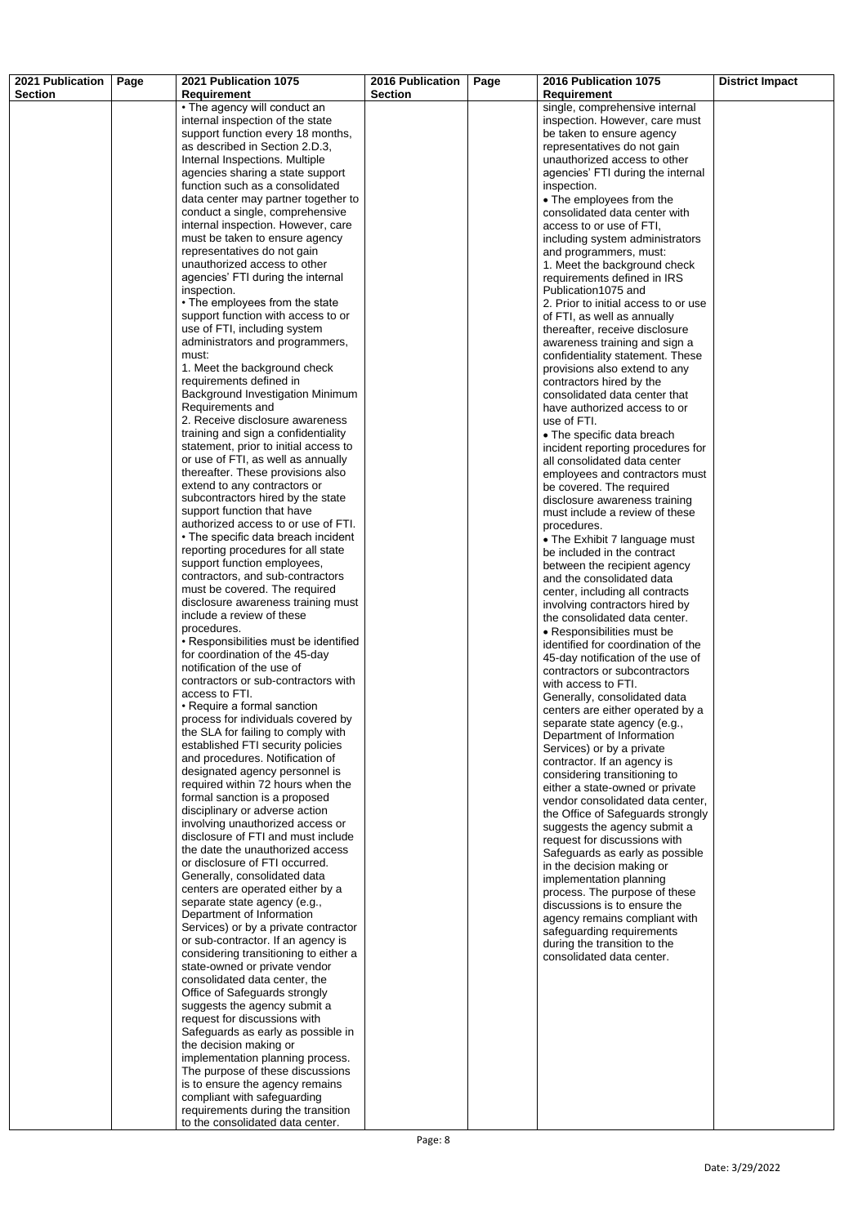| 2021 Publication<br><b>Section</b> | Page | 2021 Publication 1075<br><b>Requirement</b>                                 | 2016 Publication<br><b>Section</b> | Page | 2016 Publication 1075<br><b>Requirement</b>                         | <b>District Impact</b> |
|------------------------------------|------|-----------------------------------------------------------------------------|------------------------------------|------|---------------------------------------------------------------------|------------------------|
|                                    |      | • The agency will conduct an                                                |                                    |      | single, comprehensive internal                                      |                        |
|                                    |      | internal inspection of the state<br>support function every 18 months,       |                                    |      | inspection. However, care must<br>be taken to ensure agency         |                        |
|                                    |      | as described in Section 2.D.3,                                              |                                    |      | representatives do not gain                                         |                        |
|                                    |      | Internal Inspections. Multiple                                              |                                    |      | unauthorized access to other                                        |                        |
|                                    |      | agencies sharing a state support<br>function such as a consolidated         |                                    |      | agencies' FTI during the internal<br>inspection.                    |                        |
|                                    |      | data center may partner together to                                         |                                    |      | • The employees from the                                            |                        |
|                                    |      | conduct a single, comprehensive                                             |                                    |      | consolidated data center with                                       |                        |
|                                    |      | internal inspection. However, care                                          |                                    |      | access to or use of FTI,                                            |                        |
|                                    |      | must be taken to ensure agency<br>representatives do not gain               |                                    |      | including system administrators                                     |                        |
|                                    |      | unauthorized access to other                                                |                                    |      | and programmers, must:<br>1. Meet the background check              |                        |
|                                    |      | agencies' FTI during the internal                                           |                                    |      | requirements defined in IRS                                         |                        |
|                                    |      | inspection.                                                                 |                                    |      | Publication 1075 and                                                |                        |
|                                    |      | • The employees from the state<br>support function with access to or        |                                    |      | 2. Prior to initial access to or use<br>of FTI, as well as annually |                        |
|                                    |      | use of FTI, including system                                                |                                    |      | thereafter, receive disclosure                                      |                        |
|                                    |      | administrators and programmers,                                             |                                    |      | awareness training and sign a                                       |                        |
|                                    |      | must:                                                                       |                                    |      | confidentiality statement. These                                    |                        |
|                                    |      | 1. Meet the background check<br>requirements defined in                     |                                    |      | provisions also extend to any<br>contractors hired by the           |                        |
|                                    |      | Background Investigation Minimum                                            |                                    |      | consolidated data center that                                       |                        |
|                                    |      | Requirements and                                                            |                                    |      | have authorized access to or                                        |                        |
|                                    |      | 2. Receive disclosure awareness<br>training and sign a confidentiality      |                                    |      | use of FTI.                                                         |                        |
|                                    |      | statement, prior to initial access to                                       |                                    |      | • The specific data breach<br>incident reporting procedures for     |                        |
|                                    |      | or use of FTI, as well as annually                                          |                                    |      | all consolidated data center                                        |                        |
|                                    |      | thereafter. These provisions also                                           |                                    |      | employees and contractors must                                      |                        |
|                                    |      | extend to any contractors or<br>subcontractors hired by the state           |                                    |      | be covered. The required<br>disclosure awareness training           |                        |
|                                    |      | support function that have                                                  |                                    |      | must include a review of these                                      |                        |
|                                    |      | authorized access to or use of FTI.                                         |                                    |      | procedures.                                                         |                        |
|                                    |      | • The specific data breach incident<br>reporting procedures for all state   |                                    |      | • The Exhibit 7 language must                                       |                        |
|                                    |      | support function employees,                                                 |                                    |      | be included in the contract<br>between the recipient agency         |                        |
|                                    |      | contractors, and sub-contractors                                            |                                    |      | and the consolidated data                                           |                        |
|                                    |      | must be covered. The required                                               |                                    |      | center, including all contracts                                     |                        |
|                                    |      | disclosure awareness training must<br>include a review of these             |                                    |      | involving contractors hired by<br>the consolidated data center.     |                        |
|                                    |      | procedures.                                                                 |                                    |      | • Responsibilities must be                                          |                        |
|                                    |      | • Responsibilities must be identified                                       |                                    |      | identified for coordination of the                                  |                        |
|                                    |      | for coordination of the 45-day<br>notification of the use of                |                                    |      | 45-day notification of the use of                                   |                        |
|                                    |      | contractors or sub-contractors with                                         |                                    |      | contractors or subcontractors<br>with access to FTI.                |                        |
|                                    |      | access to FTI.                                                              |                                    |      | Generally, consolidated data                                        |                        |
|                                    |      | • Require a formal sanction<br>process for individuals covered by           |                                    |      | centers are either operated by a                                    |                        |
|                                    |      | the SLA for failing to comply with                                          |                                    |      | separate state agency (e.g.,<br>Department of Information           |                        |
|                                    |      | established FTI security policies                                           |                                    |      | Services) or by a private                                           |                        |
|                                    |      | and procedures. Notification of                                             |                                    |      | contractor. If an agency is                                         |                        |
|                                    |      | designated agency personnel is<br>required within 72 hours when the         |                                    |      | considering transitioning to                                        |                        |
|                                    |      | formal sanction is a proposed                                               |                                    |      | either a state-owned or private<br>vendor consolidated data center, |                        |
|                                    |      | disciplinary or adverse action                                              |                                    |      | the Office of Safeguards strongly                                   |                        |
|                                    |      | involving unauthorized access or<br>disclosure of FTI and must include      |                                    |      | suggests the agency submit a                                        |                        |
|                                    |      | the date the unauthorized access                                            |                                    |      | request for discussions with<br>Safeguards as early as possible     |                        |
|                                    |      | or disclosure of FTI occurred.                                              |                                    |      | in the decision making or                                           |                        |
|                                    |      | Generally, consolidated data<br>centers are operated either by a            |                                    |      | implementation planning                                             |                        |
|                                    |      | separate state agency (e.g.,                                                |                                    |      | process. The purpose of these<br>discussions is to ensure the       |                        |
|                                    |      | Department of Information                                                   |                                    |      | agency remains compliant with                                       |                        |
|                                    |      | Services) or by a private contractor                                        |                                    |      | safeguarding requirements                                           |                        |
|                                    |      | or sub-contractor. If an agency is<br>considering transitioning to either a |                                    |      | during the transition to the<br>consolidated data center.           |                        |
|                                    |      | state-owned or private vendor                                               |                                    |      |                                                                     |                        |
|                                    |      | consolidated data center, the                                               |                                    |      |                                                                     |                        |
|                                    |      | Office of Safeguards strongly<br>suggests the agency submit a               |                                    |      |                                                                     |                        |
|                                    |      | request for discussions with                                                |                                    |      |                                                                     |                        |
|                                    |      | Safeguards as early as possible in                                          |                                    |      |                                                                     |                        |
|                                    |      | the decision making or<br>implementation planning process.                  |                                    |      |                                                                     |                        |
|                                    |      | The purpose of these discussions                                            |                                    |      |                                                                     |                        |
|                                    |      | is to ensure the agency remains                                             |                                    |      |                                                                     |                        |
|                                    |      | compliant with safeguarding                                                 |                                    |      |                                                                     |                        |
|                                    |      | requirements during the transition<br>to the consolidated data center.      |                                    |      |                                                                     |                        |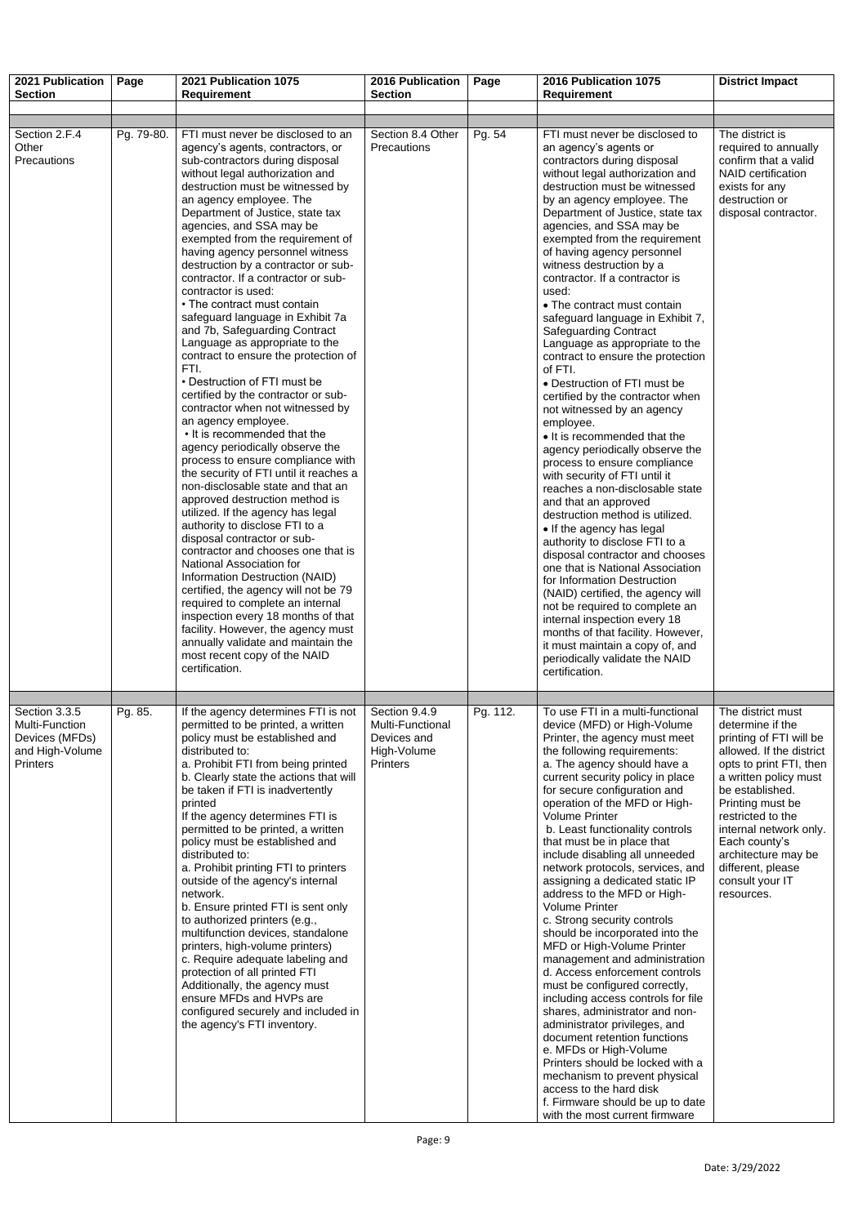| 2021 Publication<br><b>Section</b>                                                      | Page       | 2021 Publication 1075<br><b>Requirement</b>                                                                                                                                                                                                                                                                                                                                                                                                                                                                                                                                                                                                                                                                                                                                                                                                                                                                                                                                                                                                                                                                                                                                                                                                                                                                                                                                                                                                                       | 2016 Publication<br><b>Section</b>                                                 | Page     | 2016 Publication 1075<br><b>Requirement</b>                                                                                                                                                                                                                                                                                                                                                                                                                                                                                                                                                                                                                                                                                                                                                                                                                                                                                                                                                                                                                                                                                                                                                                                                                                                                                                  | <b>District Impact</b>                                                                                                                                                                                                                                                                                                               |
|-----------------------------------------------------------------------------------------|------------|-------------------------------------------------------------------------------------------------------------------------------------------------------------------------------------------------------------------------------------------------------------------------------------------------------------------------------------------------------------------------------------------------------------------------------------------------------------------------------------------------------------------------------------------------------------------------------------------------------------------------------------------------------------------------------------------------------------------------------------------------------------------------------------------------------------------------------------------------------------------------------------------------------------------------------------------------------------------------------------------------------------------------------------------------------------------------------------------------------------------------------------------------------------------------------------------------------------------------------------------------------------------------------------------------------------------------------------------------------------------------------------------------------------------------------------------------------------------|------------------------------------------------------------------------------------|----------|----------------------------------------------------------------------------------------------------------------------------------------------------------------------------------------------------------------------------------------------------------------------------------------------------------------------------------------------------------------------------------------------------------------------------------------------------------------------------------------------------------------------------------------------------------------------------------------------------------------------------------------------------------------------------------------------------------------------------------------------------------------------------------------------------------------------------------------------------------------------------------------------------------------------------------------------------------------------------------------------------------------------------------------------------------------------------------------------------------------------------------------------------------------------------------------------------------------------------------------------------------------------------------------------------------------------------------------------|--------------------------------------------------------------------------------------------------------------------------------------------------------------------------------------------------------------------------------------------------------------------------------------------------------------------------------------|
|                                                                                         |            |                                                                                                                                                                                                                                                                                                                                                                                                                                                                                                                                                                                                                                                                                                                                                                                                                                                                                                                                                                                                                                                                                                                                                                                                                                                                                                                                                                                                                                                                   |                                                                                    |          |                                                                                                                                                                                                                                                                                                                                                                                                                                                                                                                                                                                                                                                                                                                                                                                                                                                                                                                                                                                                                                                                                                                                                                                                                                                                                                                                              |                                                                                                                                                                                                                                                                                                                                      |
| Section 2.F.4<br>Other<br>Precautions                                                   | Pg. 79-80. | FTI must never be disclosed to an<br>agency's agents, contractors, or<br>sub-contractors during disposal<br>without legal authorization and<br>destruction must be witnessed by<br>an agency employee. The<br>Department of Justice, state tax<br>agencies, and SSA may be<br>exempted from the requirement of<br>having agency personnel witness<br>destruction by a contractor or sub-<br>contractor. If a contractor or sub-<br>contractor is used:<br>• The contract must contain<br>safeguard language in Exhibit 7a<br>and 7b, Safeguarding Contract<br>Language as appropriate to the<br>contract to ensure the protection of<br>FTI.<br>• Destruction of FTI must be<br>certified by the contractor or sub-<br>contractor when not witnessed by<br>an agency employee.<br>• It is recommended that the<br>agency periodically observe the<br>process to ensure compliance with<br>the security of FTI until it reaches a<br>non-disclosable state and that an<br>approved destruction method is<br>utilized. If the agency has legal<br>authority to disclose FTI to a<br>disposal contractor or sub-<br>contractor and chooses one that is<br>National Association for<br>Information Destruction (NAID)<br>certified, the agency will not be 79<br>required to complete an internal<br>inspection every 18 months of that<br>facility. However, the agency must<br>annually validate and maintain the<br>most recent copy of the NAID<br>certification. | Section 8.4 Other<br>Precautions                                                   | Pg. 54   | FTI must never be disclosed to<br>an agency's agents or<br>contractors during disposal<br>without legal authorization and<br>destruction must be witnessed<br>by an agency employee. The<br>Department of Justice, state tax<br>agencies, and SSA may be<br>exempted from the requirement<br>of having agency personnel<br>witness destruction by a<br>contractor. If a contractor is<br>used:<br>• The contract must contain<br>safeguard language in Exhibit 7,<br><b>Safeguarding Contract</b><br>Language as appropriate to the<br>contract to ensure the protection<br>of FTI.<br>• Destruction of FTI must be<br>certified by the contractor when<br>not witnessed by an agency<br>employee.<br>• It is recommended that the<br>agency periodically observe the<br>process to ensure compliance<br>with security of FTI until it<br>reaches a non-disclosable state<br>and that an approved<br>destruction method is utilized.<br>• If the agency has legal<br>authority to disclose FTI to a<br>disposal contractor and chooses<br>one that is National Association<br>for Information Destruction<br>(NAID) certified, the agency will<br>not be required to complete an<br>internal inspection every 18<br>months of that facility. However,<br>it must maintain a copy of, and<br>periodically validate the NAID<br>certification. | The district is<br>required to annually<br>confirm that a valid<br><b>NAID</b> certification<br>exists for any<br>destruction or<br>disposal contractor.                                                                                                                                                                             |
| Section 3.3.5<br>Multi-Function<br>Devices (MFDs)<br>and High-Volume<br><b>Printers</b> | Pg. 85.    | If the agency determines FTI is not<br>permitted to be printed, a written<br>policy must be established and<br>distributed to:<br>a. Prohibit FTI from being printed<br>b. Clearly state the actions that will<br>be taken if FTI is inadvertently<br>printed<br>If the agency determines FTI is<br>permitted to be printed, a written<br>policy must be established and<br>distributed to:<br>a. Prohibit printing FTI to printers<br>outside of the agency's internal<br>network.<br>b. Ensure printed FTI is sent only<br>to authorized printers (e.g.,<br>multifunction devices, standalone<br>printers, high-volume printers)<br>c. Require adequate labeling and<br>protection of all printed FTI<br>Additionally, the agency must<br>ensure MFDs and HVPs are<br>configured securely and included in<br>the agency's FTI inventory.                                                                                                                                                                                                                                                                                                                                                                                                                                                                                                                                                                                                                        | Section 9.4.9<br>Multi-Functional<br>Devices and<br>High-Volume<br><b>Printers</b> | Pg. 112. | To use FTI in a multi-functional<br>device (MFD) or High-Volume<br>Printer, the agency must meet<br>the following requirements:<br>a. The agency should have a<br>current security policy in place<br>for secure configuration and<br>operation of the MFD or High-<br><b>Volume Printer</b><br>b. Least functionality controls<br>that must be in place that<br>include disabling all unneeded<br>network protocols, services, and<br>assigning a dedicated static IP<br>address to the MFD or High-<br><b>Volume Printer</b><br>c. Strong security controls<br>should be incorporated into the<br>MFD or High-Volume Printer<br>management and administration<br>d. Access enforcement controls<br>must be configured correctly,<br>including access controls for file<br>shares, administrator and non-<br>administrator privileges, and<br>document retention functions<br>e. MFDs or High-Volume<br>Printers should be locked with a<br>mechanism to prevent physical<br>access to the hard disk<br>f. Firmware should be up to date<br>with the most current firmware                                                                                                                                                                                                                                                                  | The district must<br>determine if the<br>printing of FTI will be<br>allowed. If the district<br>opts to print FTI, then<br>a written policy must<br>be established.<br>Printing must be<br>restricted to the<br>internal network only.<br>Each county's<br>architecture may be<br>different, please<br>consult your IT<br>resources. |